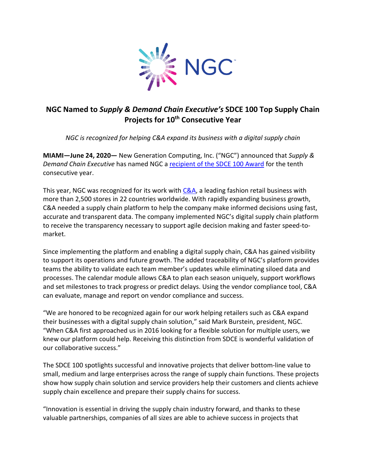

## **NGC Named to** *Supply & Demand Chain Executive's* **SDCE 100 Top Supply Chain Projects for 10th Consecutive Year**

*NGC is recognized for helping C&A expand its business with a digital supply chain*

**MIAMI—June 24, 2020—** New Generation Computing, Inc. ("NGC") announced that *Supply & Demand Chain Executive* has named NGC a recipient of the [SDCE 100 Award](https://digital.acbusinessmedia.com/SDC/MISC/SDC0620_Top100Additional.pdf) for the tenth consecutive year.

This year, NGC was recognized for its work with [C&A,](https://www.cyamoda.com/) a leading fashion retail business with more than 2,500 stores in 22 countries worldwide. With rapidly expanding business growth, C&A needed a supply chain platform to help the company make informed decisions using fast, accurate and transparent data. The company implemented NGC's digital supply chain platform to receive the transparency necessary to support agile decision making and faster speed-tomarket.

Since implementing the platform and enabling a digital supply chain, C&A has gained visibility to support its operations and future growth. The added traceability of NGC's platform provides teams the ability to validate each team member's updates while eliminating siloed data and processes. The calendar module allows C&A to plan each season uniquely, support workflows and set milestones to track progress or predict delays. Using the vendor compliance tool, C&A can evaluate, manage and report on vendor compliance and success.

"We are honored to be recognized again for our work helping retailers such as C&A expand their businesses with a digital supply chain solution," said Mark Burstein, president, NGC. "When C&A first approached us in 2016 looking for a flexible solution for multiple users, we knew our platform could help. Receiving this distinction from SDCE is wonderful validation of our collaborative success."

The SDCE 100 spotlights successful and innovative projects that deliver bottom-line value to small, medium and large enterprises across the range of supply chain functions. These projects show how supply chain solution and service providers help their customers and clients achieve supply chain excellence and prepare their supply chains for success.

"Innovation is essential in driving the supply chain industry forward, and thanks to these valuable partnerships, companies of all sizes are able to achieve success in projects that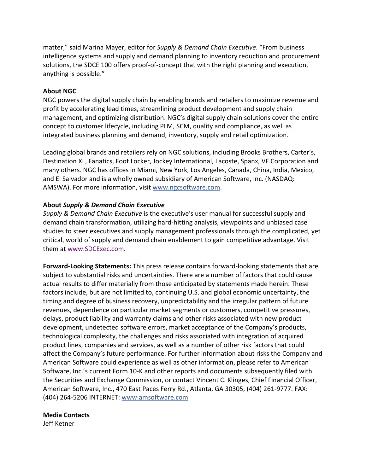matter," said Marina Mayer, editor for *Supply & Demand Chain Executive*. "From business intelligence systems and supply and demand planning to inventory reduction and procurement solutions, the SDCE 100 offers proof-of-concept that with the right planning and execution, anything is possible."

## **About NGC**

NGC powers the digital supply chain by enabling brands and retailers to maximize revenue and profit by accelerating lead times, streamlining product development and supply chain management, and optimizing distribution. NGC's digital supply chain solutions cover the entire concept to customer lifecycle, including PLM, SCM, quality and compliance, as well as integrated business planning and demand, inventory, supply and retail optimization.

Leading global brands and retailers rely on NGC solutions, including Brooks Brothers, Carter's, Destination XL, Fanatics, Foot Locker, Jockey International, Lacoste, Spanx, VF Corporation and many others. NGC has offices in Miami, New York, Los Angeles, Canada, China, India, Mexico, and El Salvador and is a wholly owned subsidiary of American Software, Inc. (NASDAQ: AMSWA). For more information, visit [www.ngcsoftware.com.](http://www.ngcsoftware.com/)

## **About** *Supply & Demand Chain Executive*

*Supply & Demand Chain Executive* is the executive's user manual for successful supply and demand chain transformation, utilizing hard-hitting analysis, viewpoints and unbiased case studies to steer executives and supply management professionals through the complicated, yet critical, world of supply and demand chain enablement to gain competitive advantage. Visit them at [www.SDCExec.com.](http://www.sdcexec.com/)

**Forward-Looking Statements:** This press release contains forward-looking statements that are subject to substantial risks and uncertainties. There are a number of factors that could cause actual results to differ materially from those anticipated by statements made herein. These factors include, but are not limited to, continuing U.S. and global economic uncertainty, the timing and degree of business recovery, unpredictability and the irregular pattern of future revenues, dependence on particular market segments or customers, competitive pressures, delays, product liability and warranty claims and other risks associated with new product development, undetected software errors, market acceptance of the Company's products, technological complexity, the challenges and risks associated with integration of acquired product lines, companies and services, as well as a number of other risk factors that could affect the Company's future performance. For further information about risks the Company and American Software could experience as well as other information, please refer to American Software, Inc.'s current Form 10-K and other reports and documents subsequently filed with the Securities and Exchange Commission, or contact Vincent C. Klinges, Chief Financial Officer, American Software, Inc., 470 East Paces Ferry Rd., Atlanta, GA 30305, (404) 261-9777. FAX: (404) 264-5206 INTERNET: [www.amsoftware.com](http://www.amsoftware.com/)

## **Media Contacts**

Jeff Ketner